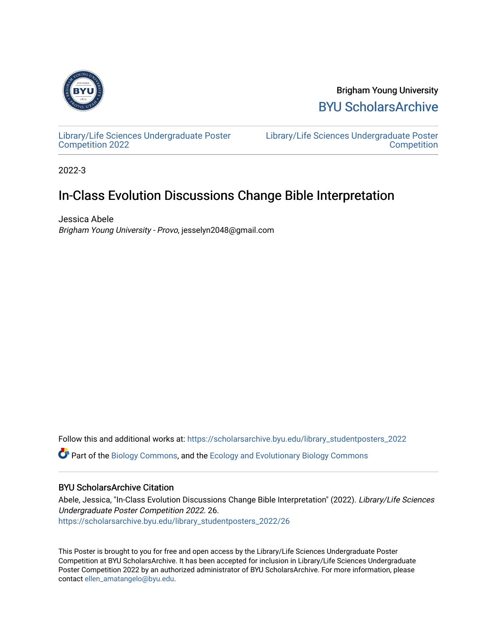

Brigham Young University [BYU ScholarsArchive](https://scholarsarchive.byu.edu/) 

[Library/Life Sciences Undergraduate Poster](https://scholarsarchive.byu.edu/library_studentposters_2022) [Competition 2022](https://scholarsarchive.byu.edu/library_studentposters_2022)

[Library/Life Sciences Undergraduate Poster](https://scholarsarchive.byu.edu/library_studentposters)  **Competition** 

2022-3

### In-Class Evolution Discussions Change Bible Interpretation

Jessica Abele Brigham Young University - Provo, jesselyn2048@gmail.com

Follow this and additional works at: [https://scholarsarchive.byu.edu/library\\_studentposters\\_2022](https://scholarsarchive.byu.edu/library_studentposters_2022?utm_source=scholarsarchive.byu.edu%2Flibrary_studentposters_2022%2F26&utm_medium=PDF&utm_campaign=PDFCoverPages)  Part of the [Biology Commons,](http://network.bepress.com/hgg/discipline/41?utm_source=scholarsarchive.byu.edu%2Flibrary_studentposters_2022%2F26&utm_medium=PDF&utm_campaign=PDFCoverPages) and the [Ecology and Evolutionary Biology Commons](http://network.bepress.com/hgg/discipline/14?utm_source=scholarsarchive.byu.edu%2Flibrary_studentposters_2022%2F26&utm_medium=PDF&utm_campaign=PDFCoverPages) 

### BYU ScholarsArchive Citation

Abele, Jessica, "In-Class Evolution Discussions Change Bible Interpretation" (2022). Library/Life Sciences Undergraduate Poster Competition 2022. 26. [https://scholarsarchive.byu.edu/library\\_studentposters\\_2022/26](https://scholarsarchive.byu.edu/library_studentposters_2022/26?utm_source=scholarsarchive.byu.edu%2Flibrary_studentposters_2022%2F26&utm_medium=PDF&utm_campaign=PDFCoverPages)

This Poster is brought to you for free and open access by the Library/Life Sciences Undergraduate Poster Competition at BYU ScholarsArchive. It has been accepted for inclusion in Library/Life Sciences Undergraduate Poster Competition 2022 by an authorized administrator of BYU ScholarsArchive. For more information, please contact [ellen\\_amatangelo@byu.edu.](mailto:ellen_amatangelo@byu.edu)